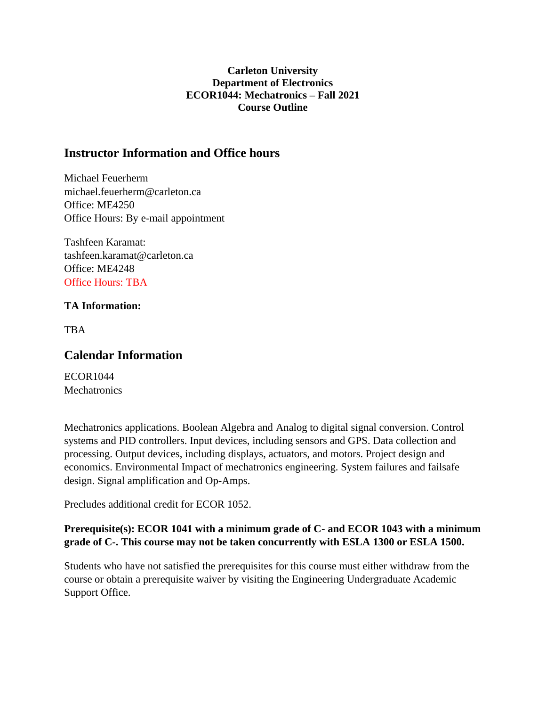#### **Carleton University Department of Electronics ECOR1044: Mechatronics – Fall 2021 Course Outline**

## **Instructor Information and Office hours**

Michael Feuerherm michael.feuerherm@carleton.ca Office: ME4250 Office Hours: By e-mail appointment

Tashfeen Karamat: tashfeen.karamat@carleton.ca Office: ME4248 Office Hours: TBA

#### **TA Information:**

**TBA** 

## **Calendar Information**

ECOR1044 **Mechatronics** 

Mechatronics applications. Boolean Algebra and Analog to digital signal conversion. Control systems and PID controllers. Input devices, including sensors and GPS. Data collection and processing. Output devices, including displays, actuators, and motors. Project design and economics. Environmental Impact of mechatronics engineering. System failures and failsafe design. Signal amplification and Op-Amps.

Precludes additional credit for ECOR 1052.

#### **Prerequisite(s): ECOR 1041 with a minimum grade of C- and ECOR 1043 with a minimum grade of C-. This course may not be taken concurrently with ESLA 1300 or ESLA 1500.**

Students who have not satisfied the prerequisites for this course must either withdraw from the course or obtain a prerequisite waiver by visiting the Engineering Undergraduate Academic Support Office.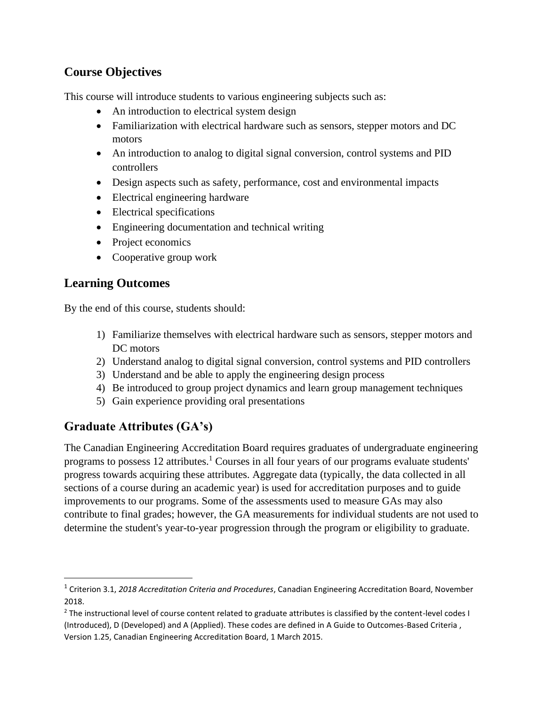## **Course Objectives**

This course will introduce students to various engineering subjects such as:

- An introduction to electrical system design
- Familiarization with electrical hardware such as sensors, stepper motors and DC motors
- An introduction to analog to digital signal conversion, control systems and PID controllers
- Design aspects such as safety, performance, cost and environmental impacts
- Electrical engineering hardware
- Electrical specifications
- Engineering documentation and technical writing
- Project economics
- Cooperative group work

## **Learning Outcomes**

By the end of this course, students should:

- 1) Familiarize themselves with electrical hardware such as sensors, stepper motors and DC motors
- 2) Understand analog to digital signal conversion, control systems and PID controllers
- 3) Understand and be able to apply the engineering design process
- 4) Be introduced to group project dynamics and learn group management techniques
- 5) Gain experience providing oral presentations

# **Graduate Attributes (GA's)**

The Canadian Engineering Accreditation Board requires graduates of undergraduate engineering programs to possess 12 attributes.<sup>1</sup> Courses in all four years of our programs evaluate students' progress towards acquiring these attributes. Aggregate data (typically, the data collected in all sections of a course during an academic year) is used for accreditation purposes and to guide improvements to our programs. Some of the assessments used to measure GAs may also contribute to final grades; however, the GA measurements for individual students are not used to determine the student's year-to-year progression through the program or eligibility to graduate.

<sup>1</sup> Criterion 3.1, *2018 Accreditation Criteria and Procedures*, Canadian Engineering Accreditation Board, November 2018.

 $2$  The instructional level of course content related to graduate attributes is classified by the content-level codes I (Introduced), D (Developed) and A (Applied). These codes are defined in A Guide to Outcomes-Based Criteria , Version 1.25, Canadian Engineering Accreditation Board, 1 March 2015.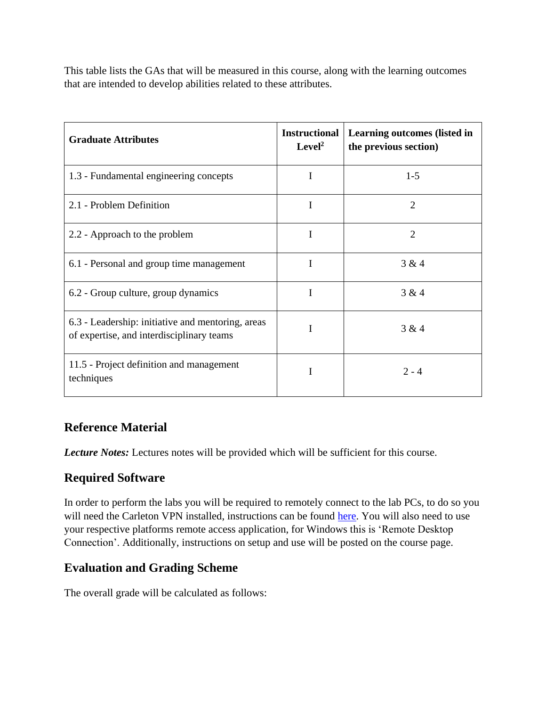This table lists the GAs that will be measured in this course, along with the learning outcomes that are intended to develop abilities related to these attributes.

| <b>Graduate Attributes</b>                                                                     | <b>Instructional</b><br>Level <sup>2</sup> | <b>Learning outcomes (listed in</b><br>the previous section) |
|------------------------------------------------------------------------------------------------|--------------------------------------------|--------------------------------------------------------------|
| 1.3 - Fundamental engineering concepts                                                         | I                                          | $1-5$                                                        |
| 2.1 - Problem Definition                                                                       | I                                          | $\overline{2}$                                               |
| 2.2 - Approach to the problem                                                                  | I                                          | $\overline{2}$                                               |
| 6.1 - Personal and group time management                                                       | I                                          | 3 & 4                                                        |
| 6.2 - Group culture, group dynamics                                                            | I                                          | 3 & 4                                                        |
| 6.3 - Leadership: initiative and mentoring, areas<br>of expertise, and interdisciplinary teams |                                            | 3 & 4                                                        |
| 11.5 - Project definition and management<br>techniques                                         | I                                          | $2 - 4$                                                      |

# **Reference Material**

*Lecture Notes:* Lectures notes will be provided which will be sufficient for this course.

# **Required Software**

In order to perform the labs you will be required to remotely connect to the lab PCs, to do so you will need the Carleton VPN installed, instructions can be found [here.](https://carleton.ca/its/help-centre/remote-access/) You will also need to use your respective platforms remote access application, for Windows this is 'Remote Desktop Connection'. Additionally, instructions on setup and use will be posted on the course page.

# **Evaluation and Grading Scheme**

The overall grade will be calculated as follows: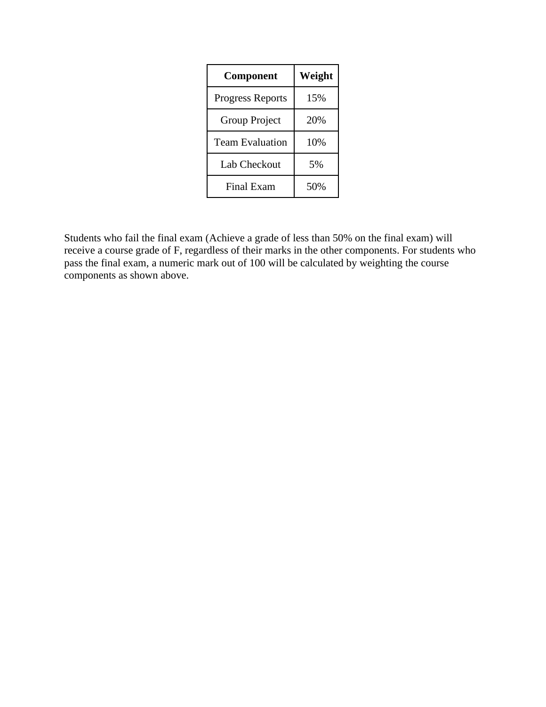| <b>Component</b>        | Weight |
|-------------------------|--------|
| <b>Progress Reports</b> | 15%    |
| Group Project           | 20%    |
| <b>Team Evaluation</b>  | 10%    |
| Lab Checkout            | 5%     |
| <b>Final Exam</b>       | 50%    |

Students who fail the final exam (Achieve a grade of less than 50% on the final exam) will receive a course grade of F, regardless of their marks in the other components. For students who pass the final exam, a numeric mark out of 100 will be calculated by weighting the course components as shown above.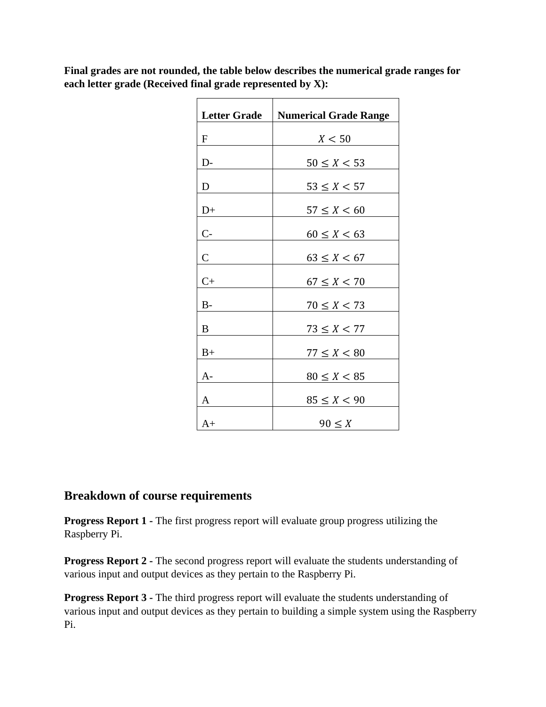**Final grades are not rounded, the table below describes the numerical grade ranges for each letter grade (Received final grade represented by X):**

| <b>Letter Grade</b> | <b>Numerical Grade Range</b> |
|---------------------|------------------------------|
| $\mathbf F$         | X < 50                       |
| $D-$                | $50 \le X \le 53$            |
| D                   | $53 \leq X < 57$             |
| $D+$                | $57 \le X < 60$              |
| $C -$               | $60 \le X < 63$              |
| $\mathsf{C}$        | $63 \leq X < 67$             |
| $C+$                | $67 \le X < 70$              |
| $B-$                | $70 \le X < 73$              |
| B                   |                              |
|                     | $73 \le X < 77$              |
| $B+$                | $77 \le X < 80$              |
| A-                  | $80 \le X < 85$              |
| A                   | $85 \le X < 90$              |
| $A+$                | $90 \leq X$                  |

## **Breakdown of course requirements**

**Progress Report 1 -** The first progress report will evaluate group progress utilizing the Raspberry Pi.

**Progress Report 2 -** The second progress report will evaluate the students understanding of various input and output devices as they pertain to the Raspberry Pi.

**Progress Report 3 -** The third progress report will evaluate the students understanding of various input and output devices as they pertain to building a simple system using the Raspberry Pi.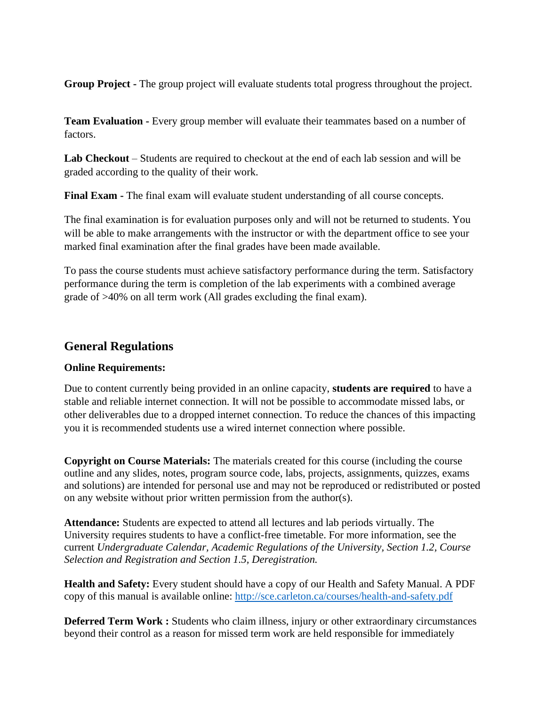**Group Project -** The group project will evaluate students total progress throughout the project.

**Team Evaluation -** Every group member will evaluate their teammates based on a number of factors.

**Lab Checkout** – Students are required to checkout at the end of each lab session and will be graded according to the quality of their work.

**Final Exam -** The final exam will evaluate student understanding of all course concepts.

The final examination is for evaluation purposes only and will not be returned to students. You will be able to make arrangements with the instructor or with the department office to see your marked final examination after the final grades have been made available.

To pass the course students must achieve satisfactory performance during the term. Satisfactory performance during the term is completion of the lab experiments with a combined average grade of >40% on all term work (All grades excluding the final exam).

## **General Regulations**

#### **Online Requirements:**

Due to content currently being provided in an online capacity, **students are required** to have a stable and reliable internet connection. It will not be possible to accommodate missed labs, or other deliverables due to a dropped internet connection. To reduce the chances of this impacting you it is recommended students use a wired internet connection where possible.

**Copyright on Course Materials:** The materials created for this course (including the course outline and any slides, notes, program source code, labs, projects, assignments, quizzes, exams and solutions) are intended for personal use and may not be reproduced or redistributed or posted on any website without prior written permission from the author(s).

**Attendance:** Students are expected to attend all lectures and lab periods virtually. The University requires students to have a conflict-free timetable. For more information, see the current *Undergraduate Calendar, Academic Regulations of the University, Section 1.2, Course Selection and Registration and Section 1.5, Deregistration.*

**Health and Safety:** Every student should have a copy of our Health and Safety Manual. A PDF copy of this manual is available online:<http://sce.carleton.ca/courses/health-and-safety.pdf>

**Deferred Term Work :** Students who claim illness, injury or other extraordinary circumstances beyond their control as a reason for missed term work are held responsible for immediately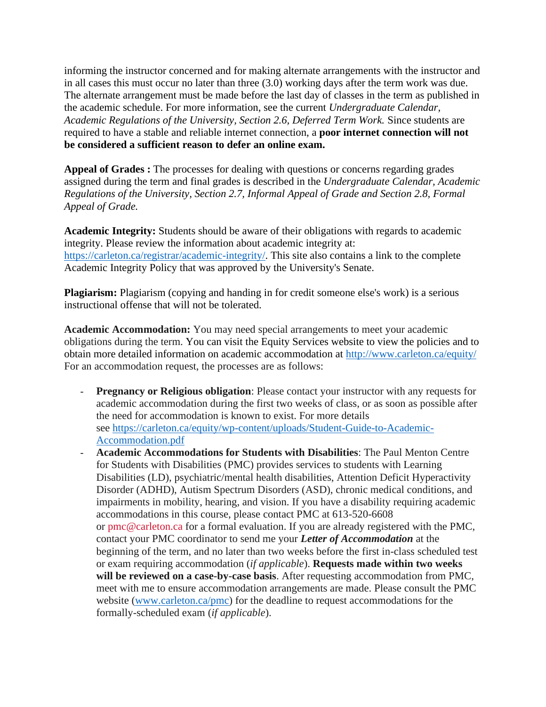informing the instructor concerned and for making alternate arrangements with the instructor and in all cases this must occur no later than three (3.0) working days after the term work was due. The alternate arrangement must be made before the last day of classes in the term as published in the academic schedule. For more information, see the current *Undergraduate Calendar, Academic Regulations of the University, Section 2.6, Deferred Term Work.* Since students are required to have a stable and reliable internet connection, a **poor internet connection will not be considered a sufficient reason to defer an online exam.**

**Appeal of Grades :** The processes for dealing with questions or concerns regarding grades assigned during the term and final grades is described in the *Undergraduate Calendar, Academic Regulations of the University, Section 2.7, Informal Appeal of Grade and Section 2.8, Formal Appeal of Grade.*

**Academic Integrity:** Students should be aware of their obligations with regards to academic integrity. Please review the information about academic integrity at: [https://carleton.ca/registrar/academic-integrity/.](https://carleton.ca/registrar/academic-integrity/) This site also contains a link to the complete Academic Integrity Policy that was approved by the University's Senate.

Plagiarism: Plagiarism (copying and handing in for credit someone else's work) is a serious instructional offense that will not be tolerated.

**Academic Accommodation:** You may need special arrangements to meet your academic obligations during the term. You can visit the Equity Services website to view the policies and to obtain more detailed information on academic accommodation at<http://www.carleton.ca/equity/> For an accommodation request, the processes are as follows:

- **Pregnancy or Religious obligation**: Please contact your instructor with any requests for academic accommodation during the first two weeks of class, or as soon as possible after the need for accommodation is known to exist. For more details see [https://carleton.ca/equity/wp-content/uploads/Student-Guide-to-Academic-](https://carleton.ca/equity/wp-content/uploads/Student-Guide-to-Academic-Accommodation.pdf)[Accommodation.pdf](https://carleton.ca/equity/wp-content/uploads/Student-Guide-to-Academic-Accommodation.pdf)
- **Academic Accommodations for Students with Disabilities**: The Paul Menton Centre for Students with Disabilities (PMC) provides services to students with Learning Disabilities (LD), psychiatric/mental health disabilities, Attention Deficit Hyperactivity Disorder (ADHD), Autism Spectrum Disorders (ASD), chronic medical conditions, and impairments in mobility, hearing, and vision. If you have a disability requiring academic accommodations in this course, please contact PMC at 613-520-6608 or [pmc@carleton.ca](mailto:pmc@carleton.ca) for a formal evaluation. If you are already registered with the PMC, contact your PMC coordinator to send me your *Letter of Accommodation* at the beginning of the term, and no later than two weeks before the first in-class scheduled test or exam requiring accommodation (*if applicable*). **Requests made within two weeks will be reviewed on a case-by-case basis**. After requesting accommodation from PMC, meet with me to ensure accommodation arrangements are made. Please consult the PMC website [\(www.carleton.ca/pmc\)](http://www.carleton.ca/pmc) for the deadline to request accommodations for the formally-scheduled exam (*if applicable*).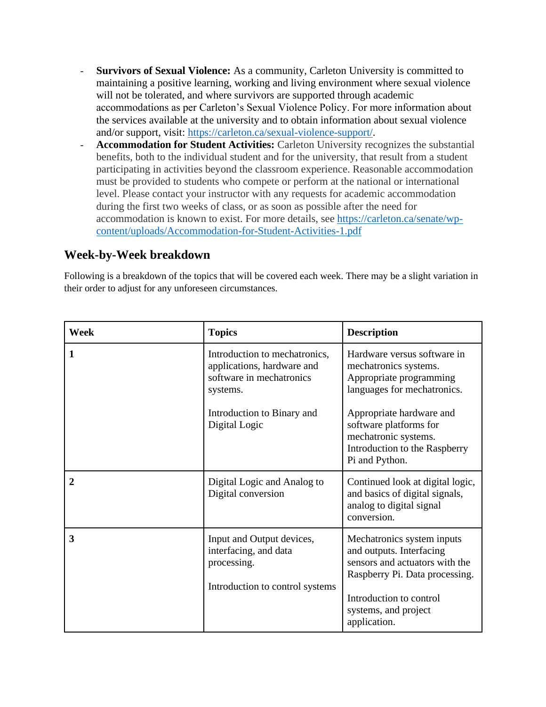- **Survivors of Sexual Violence:** As a community, Carleton University is committed to maintaining a positive learning, working and living environment where sexual violence will not be tolerated, and where survivors are supported through academic accommodations as per Carleton's Sexual Violence Policy. For more information about the services available at the university and to obtain information about sexual violence and/or support, visit: [https://carleton.ca/sexual-violence-support/.](https://carleton.ca/sexual-violence-support/)
- **Accommodation for Student Activities:** Carleton University recognizes the substantial benefits, both to the individual student and for the university, that result from a student participating in activities beyond the classroom experience. Reasonable accommodation must be provided to students who compete or perform at the national or international level. Please contact your instructor with any requests for academic accommodation during the first two weeks of class, or as soon as possible after the need for accommodation is known to exist. For more details, see [https://carleton.ca/senate/wp](https://carleton.ca/senate/wp-content/uploads/Accommodation-for-Student-Activities-1.pdf)[content/uploads/Accommodation-for-Student-Activities-1.pdf](https://carleton.ca/senate/wp-content/uploads/Accommodation-for-Student-Activities-1.pdf)

## **Week-by-Week breakdown**

Following is a breakdown of the topics that will be covered each week. There may be a slight variation in their order to adjust for any unforeseen circumstances.

| Week             | <b>Topics</b>                                                                                                                                      | <b>Description</b>                                                                                                                                                                                                                              |
|------------------|----------------------------------------------------------------------------------------------------------------------------------------------------|-------------------------------------------------------------------------------------------------------------------------------------------------------------------------------------------------------------------------------------------------|
| 1                | Introduction to mechatronics,<br>applications, hardware and<br>software in mechatronics<br>systems.<br>Introduction to Binary and<br>Digital Logic | Hardware versus software in<br>mechatronics systems.<br>Appropriate programming<br>languages for mechatronics.<br>Appropriate hardware and<br>software platforms for<br>mechatronic systems.<br>Introduction to the Raspberry<br>Pi and Python. |
| $\boldsymbol{2}$ | Digital Logic and Analog to<br>Digital conversion                                                                                                  | Continued look at digital logic,<br>and basics of digital signals,<br>analog to digital signal<br>conversion.                                                                                                                                   |
| 3                | Input and Output devices,<br>interfacing, and data<br>processing.<br>Introduction to control systems                                               | Mechatronics system inputs<br>and outputs. Interfacing<br>sensors and actuators with the<br>Raspberry Pi. Data processing.<br>Introduction to control<br>systems, and project<br>application.                                                   |